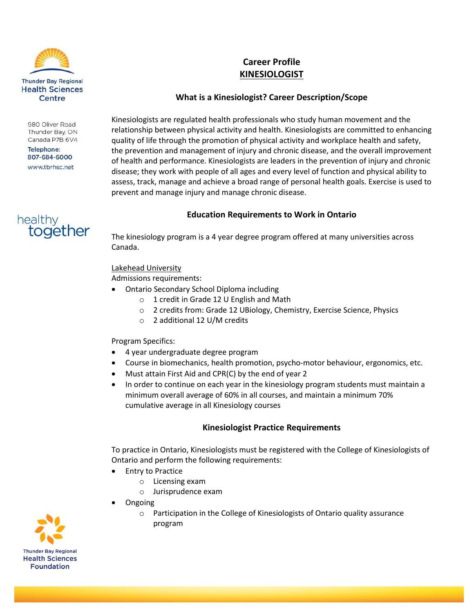

#### 980 Oliver Road Thunder Bay, ON Canada P7B 6V4

**Telephone:** 807-684-6000 www.tbrhsc.net



# **Career Profile KINESIOLOGIST**

## **What is a Kinesiologist? Career Description/Scope**

Kinesiologists are regulated health professionals who study human movement and the relationship between physical activity and health. Kinesiologists are committed to enhancing quality of life through the promotion of physical activity and workplace health and safety, the prevention and management of injury and chronic disease, and the overall improvement of health and performance. Kinesiologists are leaders in the prevention of injury and chronic disease; they work with people of all ages and every level of function and physical ability to assess, track, manage and achieve a broad range of personal health goals. Exercise is used to prevent and manage injury and manage chronic disease.

## **Education Requirements to Work in Ontario**

The kinesiology program is a 4 year degree program offered at many universities across Canada.

## Lakehead University

Admissions requirements:

- Ontario Secondary School Diploma including
	- o 1 credit in Grade 12 U English and Math
	- o 2 credits from: Grade 12 UBiology, Chemistry, Exercise Science, Physics
	- o 2 additional 12 U/M credits

#### Program Specifics:

- 4 year undergraduate degree program
- Course in biomechanics, health promotion, psycho-motor behaviour, ergonomics, etc.
- Must attain First Aid and CPR(C) by the end of year 2
- In order to continue on each year in the kinesiology program students must maintain a minimum overall average of 60% in all courses, and maintain a minimum 70% cumulative average in all Kinesiology courses

### **Kinesiologist Practice Requirements**

To practice in Ontario, Kinesiologists must be registered with the College of Kinesiologists of Ontario and perform the following requirements:

- Entry to Practice
	- o Licensing exam
	- o Jurisprudence exam
- Ongoing
	- o Participation in the College of Kinesiologists of Ontario quality assurance program